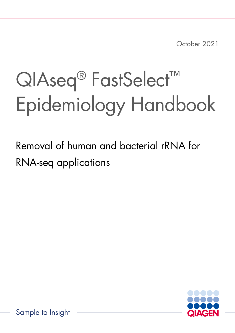October 2021

## QIAseq<sup>®</sup> FastSelect<sup>™</sup> Epidemiology Handbook

Removal of human and bacterial rRNA for RNA-seq applications



Sample to Insight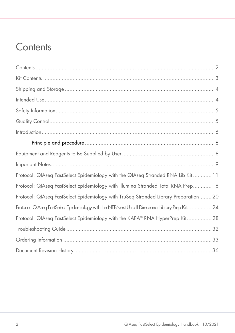### <span id="page-1-0"></span>**Contents**

| Protocol: QIAseq FastSelect Epidemiology with the QIAseq Stranded RNA Lib Kit  11                  |
|----------------------------------------------------------------------------------------------------|
| Protocol: QIAseq FastSelect Epidemiology with Illumina Stranded Total RNA Prep 16                  |
| Protocol: QIAseq FastSelect Epidemiology with TruSeq Stranded Library Preparation 20               |
| Protocol: QIAseq FastSelect Epidemiology with the NEBNext Ultra II Directional Library Prep Kit 24 |
| Protocol: QIAseq FastSelect Epidemiology with the KAPA® RNA HyperPrep Kit 28                       |
|                                                                                                    |
|                                                                                                    |
|                                                                                                    |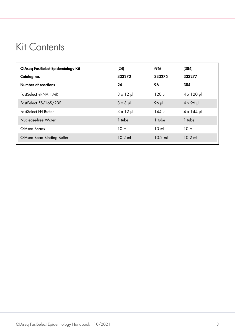### <span id="page-2-0"></span>Kit Contents

| QIAseq FastSelect Epidemiology Kit<br>Catalog no.<br>Number of reactions | (24)<br>333272<br>24 | (96)<br>333275<br>96 | (384)<br>333277<br>384 |
|--------------------------------------------------------------------------|----------------------|----------------------|------------------------|
| FastSelect -rRNA HMR                                                     | $3 \times 12 \mu$    | $120$ pl             | $4 \times 120$ µ       |
| FastSelect 5S/16S/23S                                                    | $3 \times 8$ pl      | 96 µl                | $4 \times 96$ pl       |
| <b>FastSelect FH Buffer</b>                                              | $3 \times 12 \mu$    | 144 µl               | $4 \times 144$ µ       |
| Nuclease-free Water                                                      | 1 tube               | 1 tube               | 1 tube                 |
| QIAseq Beads                                                             | 10 <sub>m</sub>      | 10 <sub>m</sub>      | 10 <sub>m</sub>        |
| <b>QIAseq Bead Binding Buffer</b>                                        | $10.2$ ml            | $10.2$ ml            | $10.2$ ml              |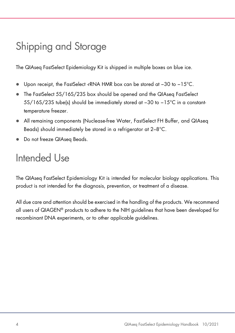### <span id="page-3-0"></span>Shipping and Storage

The QIAseq FastSelect Epidemiology Kit is shipped in multiple boxes on blue ice.

- Upon receipt, the FastSelect -rRNA HMR box can be stored at −30 to −15°C.
- The FastSelect 5S/16S/23S box should be opened and the QIAseq FastSelect 5S/16S/23S tube(s) should be immediately stored at −30 to −15°C in a constanttemperature freezer.
- All remaining components (Nuclease-free Water, FastSelect FH Buffer, and QIAseq Beads) should immediately be stored in a refrigerator at 2–8°C.
- Do not freeze QIAseq Beads.

### <span id="page-3-1"></span>Intended Use

The QIAseq FastSelect Epidemiology Kit is intended for molecular biology applications. This product is not intended for the diagnosis, prevention, or treatment of a disease.

All due care and attention should be exercised in the handling of the products. We recommend all users of QIAGEN® products to adhere to the NIH guidelines that have been developed for recombinant DNA experiments, or to other applicable guidelines.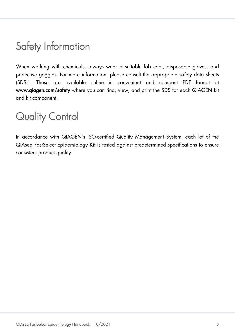### <span id="page-4-0"></span>Safety Information

When working with chemicals, always wear a suitable lab coat, disposable gloves, and protective goggles. For more information, please consult the appropriate safety data sheets (SDSs). These are available online in convenient and compact PDF format at [www.qiagen.com/safety](https://www.qiagen.com/ph/support/qa-qc-safety-data/safety-data-sheets/?akamai-feo=off) where you can find, view, and print the SDS for each QIAGEN kit and kit component.

### <span id="page-4-1"></span>Quality Control

In accordance with QIAGEN's ISO-certified Quality Management System, each lot of the QIAseq FastSelect Epidemiology Kit is tested against predetermined specifications to ensure consistent product quality.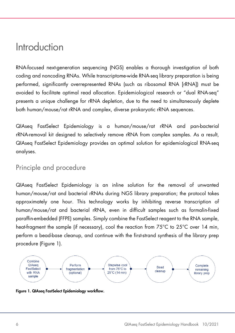### <span id="page-5-0"></span>Introduction

RNA-focused next-generation sequencing (NGS) enables a thorough investigation of both coding and noncoding RNAs. While transcriptome-wide RNA-seq library preparation is being performed, significantly overrepresented RNAs (such as ribosomal RNA [rRNA]) must be avoided to facilitate optimal read allocation. Epidemiological research or "dual RNA-seq" presents a unique challenge for rRNA depletion, due to the need to simultaneously deplete both human/mouse/rat rRNA and complex, diverse prokaryotic rRNA sequences.

QIAseq FastSelect Epidemiology is a human/mouse/rat rRNA and pan-bacterial rRNA-removal kit designed to selectively remove rRNA from complex samples. As a result, QIAseq FastSelect Epidemiology provides an optimal solution for epidemiological RNA-seq analyses.

### <span id="page-5-1"></span>Principle and procedure

QIAseq FastSelect Epidemiology is an inline solution for the removal of unwanted human/mouse/rat and bacterial rRNAs during NGS library preparation; the protocol takes approximately one hour. This technology works by inhibiting reverse transcription of human/mouse/rat and bacterial rRNA, even in difficult samples such as formalin-fixed paraffin-embedded (FFPE) samples. Simply combine the FastSelect reagent to the RNA sample, heat-fragment the sample (if necessary), cool the reaction from 75°C to 25°C over 14 min, perform a bead-base cleanup, and continue with the first-strand synthesis of the library prep procedure [\(Figure 1\)](#page-5-2).



<span id="page-5-2"></span>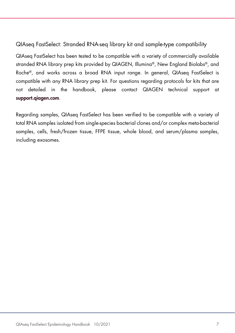### QIAseq FastSelect: Stranded RNA-seq library kit and sample-type compatibility

QIAseq FastSelect has been tested to be compatible with a variety of commercially available stranded RNA library prep kits provided by QIAGEN, Illumina®, New England Biolabs®, and Roche®, and works across a broad RNA input range. In general, QIAseq FastSelect is compatible with any RNA library prep kit. For questions regarding protocols for kits that are not detailed in the handbook, please contact QIAGEN technical support at [support.qiagen.com](https://support.qiagen.com/).

Regarding samples, QIAseq FastSelect has been verified to be compatible with a variety of total RNA samples isolated from single-species bacterial clones and/or complex meta-bacterial samples, cells, fresh/frozen tissue, FFPE tissue, whole blood, and serum/plasma samples, including exosomes.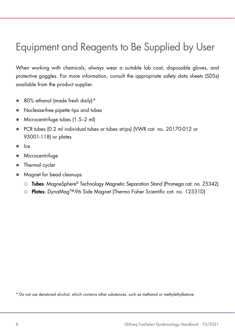### <span id="page-7-0"></span>Equipment and Reagents to Be Supplied by User

When working with chemicals, always wear a suitable lab coat, disposable gloves, and protective goggles. For more information, consult the appropriate safety data sheets (SDSs) available from the product supplier.

- 80% ethanol (made fresh daily)[\\*](#page-7-1)
- Nuclease-free pipette tips and tubes
- Microcentrifuge tubes (1.5–2 ml)
- PCR tubes (0.2 ml individual tubes or tubes strips) (VWR cat. no. 20170-012 or 93001-118) or plates
- $\bullet$  Ice
- **•** Microcentrifuge
- Thermal cycler
- Magnet for bead cleanups
	- Tubes: MagneSphere® Technology Magnetic Separation Stand (Promega cat. no. Z5342)
	- O **Plates:** DynaMaa™-96 Side Maanet (Thermo Fisher Scientific cat. no. 12331D)

<span id="page-7-1"></span>\* Do not use denatured alcohol, which contains other substances, such as methanol or methylethylketone.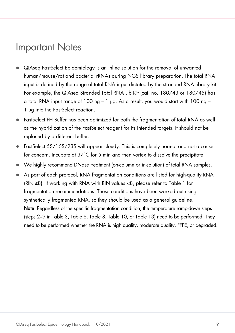### <span id="page-8-0"></span>Important Notes

- QIAseq FastSelect Epidemiology is an inline solution for the removal of unwanted human/mouse/rat and bacterial rRNAs during NGS library preparation. The total RNA input is defined by the range of total RNA input dictated by the stranded RNA library kit. For example, the QIAseq Stranded Total RNA Lib Kit (cat. no. 180743 or 180745) has a total RNA input range of 100 ng – 1 µg. As a result, you would start with 100 ng – 1 µg into the FastSelect reaction.
- FastSelect FH Buffer has been optimized for both the fragmentation of total RNA as well as the hybridization of the FastSelect reagent for its intended targets. It should not be replaced by a different buffer.
- FastSelect 5S/16S/23S will appear cloudy. This is completely normal and not a cause for concern. Incubate at 37°C for 5 min and then vortex to dissolve the precipitate.
- We highly recommend DNase treatment (on-column or in-solution) of total RNA samples.
- As part of each protocol, RNA fragmentation conditions are listed for high-quality RNA (RIN ≥8). If working with RNA with RIN values <8, please refer to [Table 1](#page-9-0) for fragmentation recommendations. These conditions have been worked out using synthetically fragmented RNA, so they should be used as a general guideline. Note: Regardless of the specific fragmentation condition, the temperature ramp-down steps (steps 2–9 in [Table 3,](#page-12-0) Table 6[, Table 8,](#page-21-0) [Table 10,](#page-24-0) or [Table 13\)](#page-28-0) need to be performed. They need to be performed whether the RNA is high quality, moderate quality, FFPE, or degraded.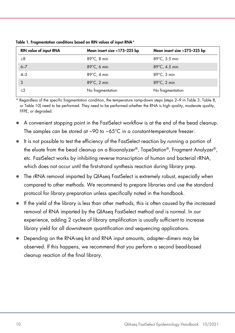| <b>RIN value of input RNA</b> | Mean insert size ~175-225 bp | Mean insert size ~275-325 bp |
|-------------------------------|------------------------------|------------------------------|
| $\geq 8$                      | $89^{\circ}$ C, 8 min        | 89°C, 5.5 min                |
| $6 - 7$                       | $89^{\circ}$ C, 6 min        | 89°C, 4.5 min                |
| $4 - 5$                       | $89^{\circ}$ C, 4 min        | $89^{\circ}$ C, 3 min        |
| 3                             | $89^{\circ}$ C, 2 min        | $89^{\circ}$ C, 2 min        |
| $<$ 2                         | No fragmentation             | No fragmentation             |

<span id="page-9-0"></span>Table 1. Fragmentation conditions based on RIN values of input RNA\*

\* Regardless of the specific fragmentation condition, the temperature ramp-down steps (steps 2–9 in [Table 3,](#page-12-0) [Table 8,](#page-21-0) or [Table 10\)](#page-24-0) need to be performed. They need to be performed whether the RNA is high quality, moderate quality, FFPE, or degraded.

- A convenient stopping point in the FastSelect workflow is at the end of the bead cleanup. The samples can be stored at −90 to −65°C in a constant-temperature freezer.
- It is not possible to test the efficiency of the FastSelect reaction by running a portion of the eluate from the bead cleanup on a Bioanalyzer®, TapeStation®, Fragment Analyzer®, etc. FastSelect works by inhibiting reverse transcription of human and bacterial rRNA, which does not occur until the first-strand synthesis reaction during library prep.
- The rRNA removal imparted by QIAseq FastSelect is extremely robust, especially when compared to other methods. We recommend to prepare libraries and use the standard protocol for library preparation unless specifically noted in the handbook.
- If the yield of the library is less than other methods, this is often caused by the increased removal of RNA imparted by the QIAseq FastSelect method and is normal. In our experience, adding 2 cycles of library amplification is usually sufficient to increase library yield for all downstream quantification and sequencing applications.
- Depending on the RNA-seq kit and RNA input amounts, adapter–dimers may be observed. If this happens, we recommend that you perform a second bead-based cleanup reaction of the final library.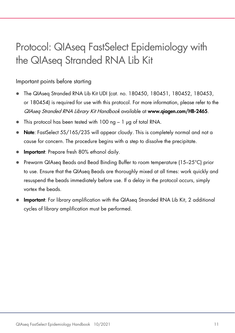### <span id="page-10-0"></span>Protocol: QIAseq FastSelect Epidemiology with the QIAseq Stranded RNA Lib Kit

#### Important points before starting

- The QIAseq Stranded RNA Lib Kit UDI (cat. no. 180450, 180451, 180452, 180453, or 180454) is required for use with this protocol. For more information, please refer to the QIAseq Stranded RNA Library Kit Handbook available at www.qiagen.com/HB-2465.
- This protocol has been tested with 100 ng 1 µg of total RNA.
- Note: FastSelect 5S/16S/23S will appear cloudy. This is completely normal and not a cause for concern. The procedure begins with a step to dissolve the precipitate.
- Important: Prepare fresh 80% ethanol daily.
- Prewarm QIAseq Beads and Bead Binding Buffer to room temperature (15–25°C) prior to use. Ensure that the QIAseq Beads are thoroughly mixed at all times: work quickly and resuspend the beads immediately before use. If a delay in the protocol occurs, simply vortex the beads.
- **Important:** For library amplification with the QIAseq Stranded RNA Lib Kit, 2 additional cycles of library amplification must be performed.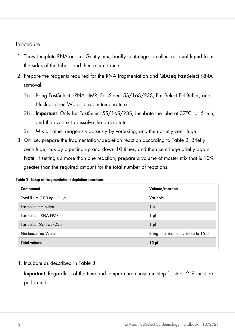#### Procedure

- 1. Thaw template RNA on ice. Gently mix, briefly centrifuge to collect residual liquid from the sides of the tubes, and then return to ice.
- 2. Prepare the reagents required for the RNA fragmentation and QIAseq FastSelect rRNA removal:
	- 2a. Bring FastSelect -rRNA HMR, FastSelect 5S/16S/23S, FastSelect FH Buffer, and Nuclease-free Water to room temperature.
	- 2b. Important: Only for FastSelect 5S/16S/23S, incubate the tube at 37°C for 5 min, and then vortex to dissolve the precipitate.
	- 2c. Mix all other reagents vigorously by vortexing, and then briefly centrifuge.
- 3. On ice, prepare the fragmentation/depletion reaction according to [Table 2.](#page-11-0) Briefly centrifuge, mix by pipetting up and down 10 times, and then centrifuge briefly again. Note: If setting up more than one reaction, prepare a volume of master mix that is 10% greater than the required amount for the total number of reactions.

<span id="page-11-0"></span>

|  | Table 2. Setup of fragmentation/depletion reactions |  |
|--|-----------------------------------------------------|--|
|--|-----------------------------------------------------|--|

| Component                   | Volume/reaction                      |
|-----------------------------|--------------------------------------|
| Total RNA (100 ng $-1$ µg)  | Variable                             |
| <b>FastSelect FH Buffer</b> | $1.5$ pl                             |
| FastSelect -rRNA HMR        | $1 \mu$                              |
| FastSelect 5S/16S/23S       | $1 \mu$                              |
| Nuclease-free Water         | Bring total reaction volume to 15 µl |
| <b>Total volume</b>         | $15 \mu$                             |

4. Incubate as described in [Table 3.](#page-12-0)

Important: Regardless of the time and temperature chosen in step 1, steps 2–9 must be performed.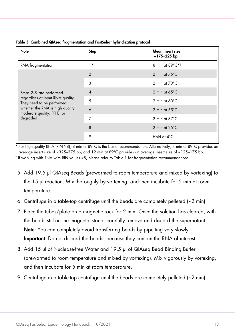| Note                                                           | Step           | Mean insert size<br>$~175 - 225$ bp   |
|----------------------------------------------------------------|----------------|---------------------------------------|
| RNA fragmentation                                              | $1 * t$        | 8 min at $89^{\circ}$ C* <sup>†</sup> |
|                                                                | $\overline{2}$ | 2 min at $75^{\circ}$ C               |
|                                                                | 3              | 2 min at $70^{\circ}$ C               |
| Steps 2-9 are performed                                        | $\overline{4}$ | 2 min at $65^{\circ}$ C               |
| regardless of input RNA quality.<br>They need to be performed  | 5              | 2 min at $60^{\circ}$ C               |
| whether the RNA is high quality,<br>moderate quality, FFPE, or | 6              | 2 min at $55^{\circ}$ C               |
| degraded.                                                      | 7              | 2 min at $37^{\circ}$ C               |
|                                                                | 8              | 2 min at $25^{\circ}$ C               |
|                                                                | 9              | Hold at 4°C                           |

#### <span id="page-12-0"></span>Table 3. Combined QIAseq fragmentation and FastSelect hybridization protocol

\* For high-quality RNA (RIN ≥8), 8 min at 89°C is the basic recommendation. Alternatively, 4 min at 89°C provides an average insert size of ~325–375 bp, and 12 min at 89°C provides an average insert size of ~125–175 bp.

† If working with RNA with RIN values <8, please refer t[o Table 1](#page-9-0) for fragmentation recommendations.

- 5. Add 19.5 µl QIAseq Beads (prewarmed to room temperature and mixed by vortexing) to the 15 µl reaction. Mix thoroughly by vortexing, and then incubate for 5 min at room temperature.
- 6. Centrifuge in a table-top centrifuge until the beads are completely pelleted  $\sim$  2 min).
- 7. Place the tubes/plate on a magnetic rack for 2 min. Once the solution has cleared, with the beads still on the magnetic stand, carefully remove and discard the supernatant. Note: You can completely avoid transferring beads by pipetting very slowly. Important: Do not discard the beads, because they contain the RNA of interest.
- 8. Add 15 µl of Nuclease-free Water and 19.5 µl of QIAseq Bead Binding Buffer (prewarmed to room temperature and mixed by vortexing). Mix vigorously by vortexing, and then incubate for 5 min at room temperature.
- 9. Centrifuge in a table-top centrifuge until the beads are completely pelleted  $\sim$  2 min).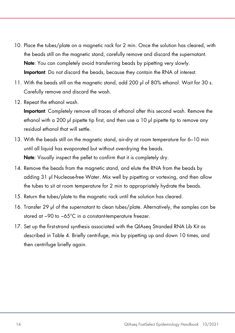- 10. Place the tubes/plate on a magnetic rack for 2 min. Once the solution has cleared, with the beads still on the magnetic stand, carefully remove and discard the supernatant. Note: You can completely avoid transferring beads by pipetting very slowly. Important: Do not discard the beads, because they contain the RNA of interest.
- 11. With the beads still on the magnetic stand, add 200 µl of 80% ethanol. Wait for 30 s. Carefully remove and discard the wash.
- 12. Repeat the ethanol wash.

Important: Completely remove all traces of ethanol after this second wash. Remove the ethanol with a 200 µl pipette tip first, and then use a 10 µl pipette tip to remove any residual ethanol that will settle.

- 13. With the beads still on the magnetic stand, air-dry at room temperature for 6–10 min until all liquid has evaporated but without overdrying the beads. Note: Visually inspect the pellet to confirm that it is completely dry.
- 14. Remove the beads from the magnetic stand, and elute the RNA from the beads by adding 31 µl Nuclease-free Water. Mix well by pipetting or vortexing, and then allow the tubes to sit at room temperature for 2 min to appropriately hydrate the beads.
- 15. Return the tubes/plate to the magnetic rack until the solution has cleared.
- 16. Transfer 29 µl of the supernatant to clean tubes/plate. Alternatively, the samples can be stored at −90 to −65°C in a constant-temperature freezer.
- 17. Set up the first-strand synthesis associated with the QIAseq Stranded RNA Lib Kit as described in [Table 4.](#page-14-0) Briefly centrifuge, mix by pipetting up and down 10 times, and then centrifuge briefly again.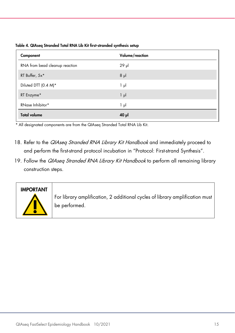<span id="page-14-0"></span>

| Table 4. QIAseq Stranded Total RNA Lib Kit first-stranded synthesis setup |  |  |  |  |  |
|---------------------------------------------------------------------------|--|--|--|--|--|
|---------------------------------------------------------------------------|--|--|--|--|--|

| Component                      | Volume/reaction |
|--------------------------------|-----------------|
| RNA from bead cleanup reaction | $29$ µ          |
| RT Buffer, 5x*                 | $8$ $\mu$       |
| Diluted DTT (0.4 M)*           | 1 μΙ            |
| RT Enzyme*                     | $1 \mu$         |
| RNase Inhibitor*               | 1 μΙ            |
| <b>Total volume</b>            | $40$ $\mu$      |

\* All designated components are from the QIAseq Stranded Total RNA Lib Kit.

- 18. Refer to the QIAseq Stranded RNA Library Kit Handbook and immediately proceed to and perform the first-strand protocol incubation in "Protocol: First-strand Synthesis".
- 19. Follow the QIAseq Stranded RNA Library Kit Handbook to perform all remaining library construction steps.



For library amplification, 2 additional cycles of library amplification must be performed.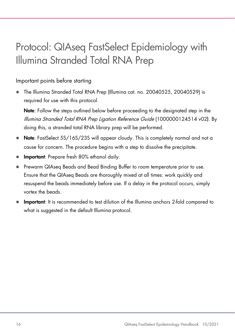### <span id="page-15-0"></span>Protocol: QIAseq FastSelect Epidemiology with Illumina Stranded Total RNA Prep

#### Important points before starting

 The Illumina Stranded Total RNA Prep (Illumina cat. no. 20040525, 20040529) is required for use with this protocol.

Note: Follow the steps outlined below before proceeding to the designated step in the Illumina Stranded Total RNA Prep Ligation Reference Guide (1000000124514 v02). By doing this, a stranded total RNA library prep will be performed.

- Note: FastSelect 5S/16S/23S will appear cloudy. This is completely normal and not a cause for concern. The procedure begins with a step to dissolve the precipitate.
- Important: Prepare fresh 80% ethanol daily.
- Prewarm QIAseq Beads and Bead Binding Buffer to room temperature prior to use. Ensure that the QIAseq Beads are thoroughly mixed at all times: work quickly and resuspend the beads immediately before use. If a delay in the protocol occurs, simply vortex the beads.
- Important: It is recommended to test dilution of the Illumina anchors 2-fold compared to what is suggested in the default Illumina protocol.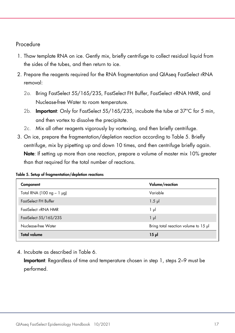#### Procedure

- 1. Thaw template RNA on ice. Gently mix, briefly centrifuge to collect residual liquid from the sides of the tubes, and then return to ice.
- 2. Prepare the reagents required for the RNA fragmentation and QIAseq FastSelect rRNA removal:
	- 2a. Bring FastSelect 5S/16S/23S, FastSelect FH Buffer, FastSelect -rRNA HMR, and Nuclease-free Water to room temperature.
	- 2b. **Important:** Only for FastSelect 5S/16S/23S, incubate the tube at 37°C for 5 min. and then vortex to dissolve the precipitate.
	- 2c. Mix all other reagents vigorously by vortexing, and then briefly centrifuge.
- 3. On ice, prepare the fragmentation/depletion reaction according to [Table 5.](#page-16-0) Briefly centrifuge, mix by pipetting up and down 10 times, and then centrifuge briefly again. Note: If setting up more than one reaction, prepare a volume of master mix 10% greater than that required for the total number of reactions.

| Component                      | Volume/reaction                      |
|--------------------------------|--------------------------------------|
| Total RNA (100 $ng - 1$ $pg$ ) | Variable                             |
| FastSelect FH Buffer           | $1.5$ pl                             |
| FastSelect -rRNA HMR           | $1 \mu$                              |
| FastSelect 5S/16S/23S          | $1 \mu$                              |
| Nuclease-free Water            | Bring total reaction volume to 15 µl |
| <b>Total volume</b>            | $15$ pl                              |

<span id="page-16-0"></span>Table 5. Setup of fragmentation/depletion reactions

4. Incubate as described in [Table 6.](#page-17-0)

Important: Regardless of time and temperature chosen in step 1, steps 2–9 must be performed.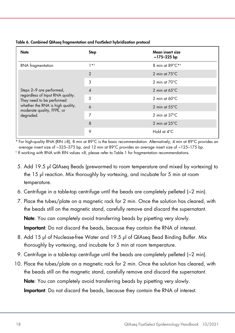| Note                                                           | <b>Step</b>    | Mean insert size<br>$~175 - 225$ bp |
|----------------------------------------------------------------|----------------|-------------------------------------|
| RNA fragmentation                                              | $1 * 1$        | 8 min at 89°C*1                     |
|                                                                | $\overline{2}$ | 2 min at $75^{\circ}$ C             |
|                                                                | 3              | 2 min at $70^{\circ}$ C             |
| Steps 2-9 are performed,                                       | 4              | 2 min at $65^{\circ}$ C             |
| regardless of Input RNA quality.<br>They need to be performed  | 5              | 2 min at $60^{\circ}$ C             |
| whether the RNA is high quality,<br>moderate quality, FFPE, or | 6              | 2 min at $55^{\circ}$ C             |
| degraded.                                                      | 7              | 2 min at $37^{\circ}$ C             |
|                                                                | 8              | 2 min at $25^{\circ}$ C             |
|                                                                | 9              | Hold at 4°C                         |

#### <span id="page-17-0"></span>Table 6. Combined QIAseq fragmentation and FastSelect hybridization protocol

\* For high-quality RNA (RIN ≥8), 8 min at 89°C is the basic recommendation. Alternatively, 4 min at 89°C provides an average insert size of ~325–375 bp, and 12 min at 89°C provides an average insert size of ~125–175 bp.

† If working with RNA with RIN values <8, please refer t[o Table 1](#page-9-0) for fragmentation recommendations.

- 5. Add 19.5 µl QIAseq Beads (prewarmed to room temperature and mixed by vortexing) to the 15 µl reaction. Mix thoroughly by vortexing, and incubate for 5 min at room temperature.
- 6. Centrifuge in a table-top centrifuge until the beads are completely pelleted  $\sim$  2 min).
- 7. Place the tubes/plate on a magnetic rack for 2 min. Once the solution has cleared, with the beads still on the magnetic stand, carefully remove and discard the supernatant.

Note: You can completely avoid transferring beads by pipetting very slowly.

Important: Do not discard the beads, because they contain the RNA of interest.

- 8. Add 15 µl of Nuclease-free Water and 19.5 µl of QIAseq Bead Binding Buffer. Mix thoroughly by vortexing, and incubate for 5 min at room temperature.
- 9. Centrifuge in a table-top centrifuge until the beads are completely pelleted (~2 min).
- 10. Place the tubes/plate on a magnetic rack for 2 min. Once the solution has cleared, with the beads still on the magnetic stand, carefully remove and discard the supernatant. Note: You can completely avoid transferring beads by pipetting very slowly. Important: Do not discard the beads, because they contain the RNA of interest.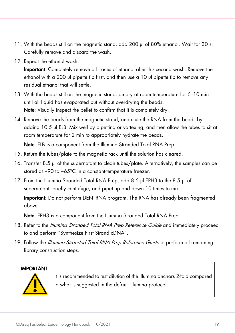- 11. With the beads still on the magnetic stand, add 200 µl of 80% ethanol. Wait for 30 s. Carefully remove and discard the wash.
- 12. Repeat the ethanol wash.

Important: Completely remove all traces of ethanol after this second wash. Remove the ethanol with a 200 µl pipette tip first, and then use a 10 µl pipette tip to remove any residual ethanol that will settle.

- 13. With the beads still on the magnetic stand, air-dry at room temperature for 6–10 min until all liquid has evaporated but without overdrying the beads. Note: Visually inspect the pellet to confirm that it is completely dry.
- 14. Remove the beads from the magnetic stand, and elute the RNA from the beads by adding 10.5 µl ELB. Mix well by pipetting or vortexing, and then allow the tubes to sit at room temperature for 2 min to appropriately hydrate the beads.

Note: ELB is a component from the Illumina Stranded Total RNA Prep.

- 15. Return the tubes/plate to the magnetic rack until the solution has cleared.
- 16. Transfer 8.5 µl of the supernatant to clean tubes/plate. Alternatively, the samples can be stored at −90 to −65°C in a constant-temperature freezer.
- 17. From the Illumina Stranded Total RNA Prep, add 8.5 µl EPH3 to the 8.5 µl of supernatant, briefly centrifuge, and pipet up and down 10 times to mix.

Important: Do not perform DEN RNA program. The RNA has already been fragmented above.

Note: EPH3 is a component from the Illumina Stranded Total RNA Prep.

- 18. Refer to the *Illumina Stranded Total RNA Prep Reference Guide* and immediately proceed to and perform "Synthesize First Strand cDNA".
- 19. Follow the *Illumina Stranded Total RNA Prep Reference Guide* to perform all remaining library construction steps.

### **IMPORTANT**



It is recommended to test dilution of the Illumina anchors 2-fold compared to what is suggested in the default Illumina protocol.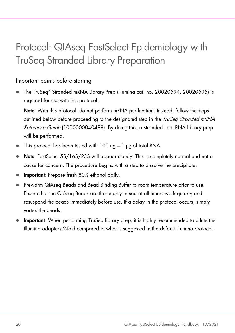### <span id="page-19-0"></span>Protocol: QIAseq FastSelect Epidemiology with TruSeq Stranded Library Preparation

#### Important points before starting

 The TruSeq® Stranded mRNA Library Prep (Illumina cat. no. 20020594, 20020595) is required for use with this protocol.

Note: With this protocol, do not perform mRNA purification. Instead, follow the steps outlined below before proceeding to the designated step in the *TruSeg Stranded mRNA* Reference Guide (1000000040498). By doing this, a stranded total RNA library prep will be performed.

- $\bullet$  This protocol has been tested with 100 ng 1 µg of total RNA.
- Note: FastSelect 5S/16S/23S will appear cloudy. This is completely normal and not a cause for concern. The procedure begins with a step to dissolve the precipitate.
- Important: Prepare fresh 80% ethanol daily.
- Prewarm QIAseq Beads and Bead Binding Buffer to room temperature prior to use. Ensure that the QIAseq Beads are thoroughly mixed at all times: work quickly and resuspend the beads immediately before use. If a delay in the protocol occurs, simply vortex the beads.
- Important: When performing TruSeg library prep, it is highly recommended to dilute the Illumina adapters 2-fold compared to what is suggested in the default Illumina protocol.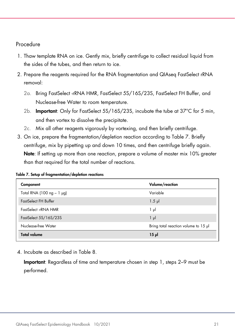#### Procedure

- 1. Thaw template RNA on ice. Gently mix, briefly centrifuge to collect residual liquid from the sides of the tubes, and then return to ice.
- 2. Prepare the reagents required for the RNA fragmentation and QIAseq FastSelect rRNA removal:
	- 2a. Bring FastSelect -rRNA HMR, FastSelect 5S/16S/23S, FastSelect FH Buffer, and Nuclease-free Water to room temperature.
	- 2b. **Important:** Only for FastSelect 5S/16S/23S, incubate the tube at 37°C for 5 min. and then vortex to dissolve the precipitate.
	- 2c. Mix all other reagents vigorously by vortexing, and then briefly centrifuge.
- 3. On ice, prepare the fragmentation/depletion reaction according to [Table 7.](#page-20-0) Briefly centrifuge, mix by pipetting up and down 10 times, and then centrifuge briefly again. Note: If setting up more than one reaction, prepare a volume of master mix 10% greater than that required for the total number of reactions.

| Component                      | Volume/reaction                      |
|--------------------------------|--------------------------------------|
| Total RNA (100 $ng - 1$ $pg$ ) | Variable                             |
| FastSelect FH Buffer           | $1.5$ pl                             |
| FastSelect -rRNA HMR           | $1 \mu$                              |
| FastSelect 5S/16S/23S          | $1 \mu$                              |
| Nuclease-free Water            | Bring total reaction volume to 15 µl |
| <b>Total volume</b>            | $15$ pl                              |

<span id="page-20-0"></span>Table 7. Setup of fragmentation/depletion reactions

4. Incubate as described in [Table 8.](#page-21-0)

Important: Regardless of time and temperature chosen in step 1, steps 2–9 must be performed.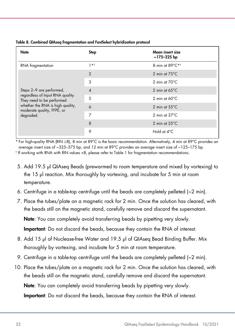| Note                                                           | <b>Step</b>    | Mean insert size<br>$~175 - 225$ bp |
|----------------------------------------------------------------|----------------|-------------------------------------|
| RNA fragmentation                                              | $1 * 1$        | 8 min at 89°C*1                     |
|                                                                | $\overline{2}$ | 2 min at $75^{\circ}$ C             |
|                                                                | 3              | 2 min at $70^{\circ}$ C             |
| Steps 2-9 are performed,                                       | $\overline{4}$ | 2 min at $65^{\circ}$ C             |
| regardless of Input RNA quality.<br>They need to be performed  | 5              | 2 min at $60^{\circ}$ C             |
| whether the RNA is high quality,<br>moderate quality, FFPE, or | 6              | 2 min at $55^{\circ}$ C             |
| degraded.                                                      | 7              | 2 min at $37^{\circ}$ C             |
|                                                                | 8              | 2 min at $25^{\circ}$ C             |
|                                                                | 9              | Hold at 4°C                         |

#### <span id="page-21-0"></span>Table 8. Combined QIAseq fragmentation and FastSelect hybridization protocol

\* For high-quality RNA (RIN ≥8), 8 min at 89°C is the basic recommendation. Alternatively, 4 min at 89°C provides an average insert size of ~325–375 bp, and 12 min at 89°C provides an average insert size of ~125–175 bp.

† If working with RNA with RIN values <8, please refer t[o Table 1](#page-9-0) for fragmentation recommendations.

- 5. Add 19.5 µl QIAseq Beads (prewarmed to room temperature and mixed by vortexing) to the 15 µl reaction. Mix thoroughly by vortexing, and incubate for 5 min at room temperature.
- 6. Centrifuge in a table-top centrifuge until the beads are completely pelleted  $\sim$  2 min).
- 7. Place the tubes/plate on a magnetic rack for 2 min. Once the solution has cleared, with the beads still on the magnetic stand, carefully remove and discard the supernatant.

Note: You can completely avoid transferring beads by pipetting very slowly.

Important: Do not discard the beads, because they contain the RNA of interest.

- 8. Add 15 µl of Nuclease-free Water and 19.5 µl of QIAseq Bead Binding Buffer. Mix thoroughly by vortexing, and incubate for 5 min at room temperature.
- 9. Centrifuge in a table-top centrifuge until the beads are completely pelleted  $\sim$  2 min).
- 10. Place the tubes/plate on a magnetic rack for 2 min. Once the solution has cleared, with the beads still on the magnetic stand, carefully remove and discard the supernatant. Note: You can completely avoid transferring beads by pipetting very slowly.

Important: Do not discard the beads, because they contain the RNA of interest.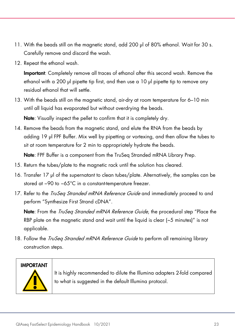- 11. With the beads still on the magnetic stand, add 200 µl of 80% ethanol. Wait for 30 s. Carefully remove and discard the wash.
- 12. Repeat the ethanol wash.

Important: Completely remove all traces of ethanol after this second wash. Remove the ethanol with a 200 µl pipette tip first, and then use a 10 µl pipette tip to remove any residual ethanol that will settle.

13. With the beads still on the magnetic stand, air-dry at room temperature for 6–10 min until all liquid has evaporated but without overdrying the beads.

Note: Visually inspect the pellet to confirm that it is completely dry.

14. Remove the beads from the magnetic stand, and elute the RNA from the beads by adding 19 µl FPF Buffer. Mix well by pipetting or vortexing, and then allow the tubes to sit at room temperature for 2 min to appropriately hydrate the beads.

Note: FPF Buffer is a component from the TruSeg Stranded mRNA Library Prep.

- 15. Return the tubes/plate to the magnetic rack until the solution has cleared.
- 16. Transfer 17 µl of the supernatant to clean tubes/plate. Alternatively, the samples can be stored at −90 to −65°C in a constant-temperature freezer.
- 17. Refer to the *TruSeg Stranded mRNA Reference Guide* and immediately proceed to and perform "Synthesize First Strand cDNA".

Note: From the *TruSeq Stranded mRNA Reference Guide*, the procedural step "Place the RBP plate on the magnetic stand and wait until the liquid is clear (~5 minutes)" is not applicable.

18. Follow the *TruSeg Stranded mRNA Reference Guide* to perform all remaining library construction steps.

#### **IMPORTANT**



It is highly recommended to dilute the Illumina adapters 2-fold compared to what is suggested in the default Illumina protocol.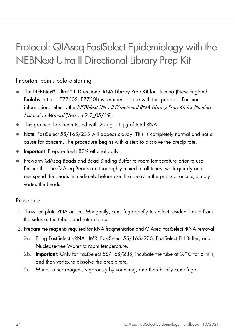### <span id="page-23-0"></span>Protocol: QIAseq FastSelect Epidemiology with the NEBNext Ultra II Directional Library Prep Kit

#### Important points before starting

- The NEBNext® Ultra™ II Directional RNA Library Prep Kit for Illumina (New England Biolabs cat. no. E7760S, E7760L) is required for use with this protocol. For more information, refer to the NEBNext Ultra II Directional RNA Library Prep Kit for Illumina Instruction Manual (Version 2.2 05/19).
- $\bullet$  This protocol has been tested with 20 ng 1  $\mu$ g of total RNA.
- Note: FastSelect 5S/16S/23S will appear cloudy. This is completely normal and not a cause for concern. The procedure begins with a step to dissolve the precipitate.
- Important: Prepare fresh 80% ethanol daily.
- Prewarm QIAseq Beads and Bead Binding Buffer to room temperature prior to use. Ensure that the QIAseq Beads are thoroughly mixed at all times: work quickly and resuspend the beads immediately before use. If a delay in the protocol occurs, simply vortex the beads.

#### Procedure

- 1. Thaw template RNA on ice. Mix gently, centrifuge briefly to collect residual liquid from the sides of the tubes, and return to ice.
- 2. Prepare the reagents required for RNA fragmentation and QIAseq FastSelect rRNA removal:
	- 2a. Bring FastSelect -rRNA HMR, FastSelect 5S/16S/23S, FastSelect FH Buffer, and Nuclease-free Water to room temperature.
	- 2b. Important: Only for FastSelect 5S/16S/23S, incubate the tube at 37°C for 5 min, and then vortex to dissolve the precipitate.
	- 2c. Mix all other reagents vigorously by vortexing, and then briefly centrifuge.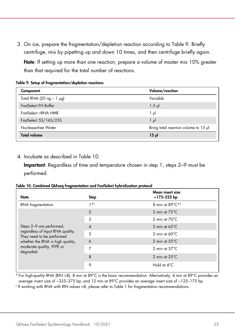3. On ice, prepare the fragmentation/depletion reaction according to [Table 9.](#page-24-1) Briefly centrifuge, mix by pipetting up and down 10 times, and then centrifuge briefly again.

Note: If setting up more than one reaction, prepare a volume of master mix 10% greater than that required for the total number of reactions.

<span id="page-24-1"></span>Table 9. Setup of fragmentation/depletion reactions

| Volume/reaction                      |
|--------------------------------------|
| Variable                             |
| $1.5$ pl                             |
| $1 \mu$                              |
| $1 \mu$                              |
| Bring total reaction volume to 15 µl |
| $15$ pl                              |
|                                      |

4. Incubate as described in [Table 10.](#page-24-0)

Important: Regardless of time and temperature chosen in step 1, steps 2–9 must be performed.

<span id="page-24-0"></span>Table 10. Combined QIAseq fragmentation and FastSelect hybridization protocol

| <b>Note</b>                                                                                                                                 | Step                     | Mean insert size<br>~175-225 bp |
|---------------------------------------------------------------------------------------------------------------------------------------------|--------------------------|---------------------------------|
| RNA fragmentation                                                                                                                           | $1 * 1$                  | 8 min at 89°C*1                 |
|                                                                                                                                             | $\overline{2}$           | 2 min at $75^{\circ}$ C         |
|                                                                                                                                             | 3                        | 2 min at $70^{\circ}$ C         |
| Steps 2-9 are performed,                                                                                                                    | $\overline{\mathcal{A}}$ | 2 min at $65^{\circ}$ C         |
| regardless of Input RNA quality.<br>They need to be performed<br>whether the RNA is high quality,<br>moderate quality, FFPE or<br>degraded. | 5                        | 2 min at $60^{\circ}$ C         |
|                                                                                                                                             | 6                        | 2 min at $55^{\circ}$ C         |
|                                                                                                                                             | 7                        | 2 min at $37^{\circ}$ C         |
|                                                                                                                                             | 8                        | 2 min at $25^{\circ}$ C         |
|                                                                                                                                             | 9                        | Hold at $4^{\circ}$ C           |

\* For high-quality RNA (RIN ≥8), 8 min at 89°C is the basic recommendation. Alternatively, 4 min at 89°C provides an average insert size of ~325–375 bp, and 12 min at 89°C provides an average insert size of ~125–175 bp.

† If working with RNA with RIN values <8, please refer t[o Table 1](#page-9-0) for fragmentation recommendations.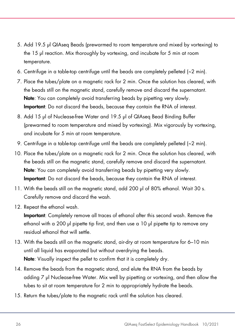- 5. Add 19.5 µl QIAseq Beads (prewarmed to room temperature and mixed by vortexing) to the 15 µl reaction. Mix thoroughly by vortexing, and incubate for 5 min at room temperature.
- 6. Centrifuge in a table-top centrifuge until the beads are completely pelleted  $\sim$  2 min).
- 7. Place the tubes/plate on a magnetic rack for 2 min. Once the solution has cleared, with the beads still on the magnetic stand, carefully remove and discard the supernatant. Note: You can completely avoid transferring beads by pipetting very slowly. Important: Do not discard the beads, because they contain the RNA of interest.
- 8. Add 15 µl of Nuclease-free Water and 19.5 µl of QIAsea Bead Bindina Buffer (prewarmed to room temperature and mixed by vortexing). Mix vigorously by vortexing, and incubate for 5 min at room temperature.
- 9. Centrifuge in a table-top centrifuge until the beads are completely pelleted (~2 min).
- 10. Place the tubes/plate on a magnetic rack for 2 min. Once the solution has cleared, with the beads still on the magnetic stand, carefully remove and discard the supernatant. Note: You can completely avoid transferring beads by pipetting very slowly. Important: Do not discard the beads, because they contain the RNA of interest.
- 11. With the beads still on the magnetic stand, add 200 µl of 80% ethanol. Wait 30 s. Carefully remove and discard the wash.
- 12. Repeat the ethanol wash.

Important: Completely remove all traces of ethanol after this second wash. Remove the ethanol with a 200 µl pipette tip first, and then use a 10 µl pipette tip to remove any residual ethanol that will settle.

- 13. With the beads still on the magnetic stand, air-dry at room temperature for 6–10 min until all liquid has evaporated but without overdrying the beads. Note: Visually inspect the pellet to confirm that it is completely dry.
- 14. Remove the beads from the magnetic stand, and elute the RNA from the beads by adding 7 µl Nuclease-free Water. Mix well by pipetting or vortexing, and then allow the tubes to sit at room temperature for 2 min to appropriately hydrate the beads.
- 15. Return the tubes/plate to the magnetic rack until the solution has cleared.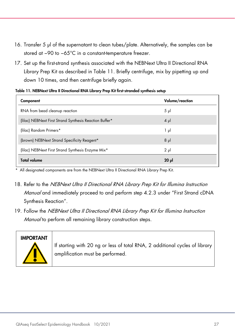- 16. Transfer 5 µl of the supernatant to clean tubes/plate. Alternatively, the samples can be stored at −90 to −65°C in a constant-temperature freezer.
- 17. Set up the first-strand synthesis associated with the NEBNext Ultra II Directional RNA Library Prep Kit as described in [Table 11.](#page-26-0) Briefly centrifuge, mix by pipetting up and down 10 times, and then centrifuge briefly again.

| Component                                               | Volume/reaction |
|---------------------------------------------------------|-----------------|
| RNA from bead cleanup reaction                          | $5 \mu$         |
| (Iilac) NEBNext First Strand Synthesis Reaction Buffer* | $4 \mu$         |
| (lilac) Random Primers*                                 | 1 μl            |
| (brown) NEBNext Strand Specificity Reagent*             | $8$ $\mu$       |
| (Iilac) NEBNext First Strand Synthesis Enzyme Mix*      | $2 \mu$         |
| <b>Total volume</b>                                     | $20$ $\mu$      |

#### <span id="page-26-0"></span>Table 11. NEBNext Ultra II Directional RNA Library Prep Kit first-stranded synthesis setup

\* All designated components are from the NEBNext Ultra II Directional RNA Library Prep Kit.

- 18. Refer to the NEBNext Ultra II Directional RNA Library Prep Kit for Illumina Instruction Manual and immediately proceed to and perform step 4.2.3 under "First Strand cDNA Synthesis Reaction".
- 19. Follow the NEBNext Ultra II Directional RNA Library Prep Kit for Illumina Instruction Manual to perform all remaining library construction steps.

# IMPORTANT

If starting with 20 ng or less of total RNA, 2 additional cycles of library amplification must be performed.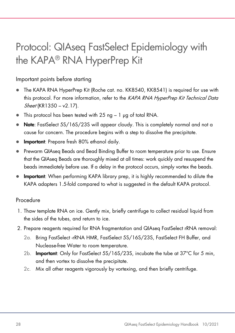### <span id="page-27-0"></span>Protocol: QIAseq FastSelect Epidemiology with the KAPA® RNA HyperPrep Kit

#### Important points before starting

- The KAPA RNA HyperPrep Kit (Roche cat. no. KK8540, KK8541) is required for use with this protocol. For more information, refer to the KAPA RNA HyperPrep Kit Technical Data Sheet (KR1350 – v2.17).
- $\bullet$  This protocol has been tested with 25 ng  $-1$   $\mu$ g of total RNA.
- Note: FastSelect 5S/16S/23S will appear cloudy. This is completely normal and not a cause for concern. The procedure begins with a step to dissolve the precipitate.
- **Important**: Prepare fresh 80% ethanol daily.
- Prewarm QIAseq Beads and Bead Binding Buffer to room temperature prior to use. Ensure that the QIAseq Beads are thoroughly mixed at all times: work quickly and resuspend the beads immediately before use. If a delay in the protocol occurs, simply vortex the beads.
- Important: When performing KAPA library prep, it is highly recommended to dilute the KAPA adapters 1.5-fold compared to what is suggested in the default KAPA protocol.

#### Procedure

- 1. Thaw template RNA on ice. Gently mix, briefly centrifuge to collect residual liquid from the sides of the tubes, and return to ice.
- 2. Prepare reagents required for RNA fragmentation and QIAseq FastSelect rRNA removal:
	- 2a. Bring FastSelect -rRNA HMR, FastSelect 5S/16S/23S, FastSelect FH Buffer, and Nuclease-free Water to room temperature.
	- 2b. Important: Only for FastSelect 5S/16S/23S, incubate the tube at 37°C for 5 min, and then vortex to dissolve the precipitate.
	- 2c. Mix all other reagents vigorously by vortexing, and then briefly centrifuge.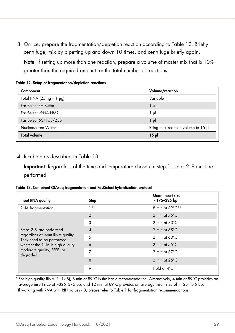3. On ice, prepare the fragmentation/depletion reaction according to [Table 12.](#page-28-1) Briefly centrifuge, mix by pipetting up and down 10 times, and centrifuge briefly again.

Note: If setting up more than one reaction, prepare a volume of master mix that is 10% greater than the required amount for the total number of reactions.

<span id="page-28-1"></span>Table 12. Setup of fragmentation/depletion reactions

| Component                     | Volume/reaction                      |
|-------------------------------|--------------------------------------|
| Total RNA (25 ng - 1 $\mu$ g) | Variable                             |
| FastSelect FH Buffer          | $1.5$ $\mu$                          |
| FastSelect -rRNA HMR          | 1 µl                                 |
| FastSelect 5S/16S/23S         | $1 \mu$                              |
| Nuclease-free Water           | Bring total reaction volume to 15 µl |
| <b>Total volume</b>           | $15$ $\mu$                           |

4. Incubate as described in [Table 13.](#page-28-0)

Important: Regardless of the time and temperature chosen in step 1, steps 2–9 must be performed.

<span id="page-28-0"></span>

|  |  |  |  | Table 13. Combined QIAseq fragmentation and FastSelect hybridization protocol |  |
|--|--|--|--|-------------------------------------------------------------------------------|--|
|  |  |  |  |                                                                               |  |

| Input RNA quality                                                                                                                            | Step                     | Mean insert size<br>~175-225 bp |
|----------------------------------------------------------------------------------------------------------------------------------------------|--------------------------|---------------------------------|
| RNA fragmentation                                                                                                                            | $1 * t$                  | 8 min at 89°C* <sup>†</sup>     |
|                                                                                                                                              | $\overline{2}$           | 2 min at $75^{\circ}$ C         |
|                                                                                                                                              | 3                        | 2 min at $70^{\circ}$ C         |
| Steps 2-9 are performed                                                                                                                      | $\overline{\mathcal{A}}$ | 2 min at $65^{\circ}$ C         |
| regardless of input RNA quality.<br>They need to be performed<br>whether the RNA is high quality,<br>moderate quality, FFPE, or<br>degraded. | 5                        | 2 min at $60^{\circ}$ C         |
|                                                                                                                                              | 6                        | 2 min at $55^{\circ}$ C         |
|                                                                                                                                              | 7                        | 2 min at $37^{\circ}$ C         |
|                                                                                                                                              | 8                        | 2 min at $25^{\circ}$ C         |
|                                                                                                                                              | 9                        | Hold at 4°C                     |

\* For high-quality RNA (RIN ≥8), 8 min at 89°C is the basic recommendation. Alternatively, 4 min at 89°C provides an average insert size of ~325–375 bp, and 12 min at 89°C provides an average insert size of ~125–175 bp.

† If working with RNA with RIN values <8, please refer t[o Table 1](#page-9-0) for fragmentation recommendations.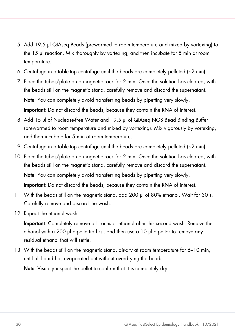- 5. Add 19.5 µl QIAseq Beads (prewarmed to room temperature and mixed by vortexing) to the 15 µl reaction. Mix thoroughly by vortexing, and then incubate for 5 min at room temperature.
- 6. Centrifuge in a table-top centrifuge until the beads are completely pelleted  $\sim$  2 min).
- 7. Place the tubes/plate on a magnetic rack for 2 min. Once the solution has cleared, with the beads still on the magnetic stand, carefully remove and discard the supernatant. Note: You can completely avoid transferring beads by pipetting very slowly. Important: Do not discard the beads, because they contain the RNA of interest.
- 8. Add 15 µl of Nuclease-free Water and 19.5 µl of QIAseg NGS Bead Binding Buffer (prewarmed to room temperature and mixed by vortexing). Mix vigorously by vortexing, and then incubate for 5 min at room temperature.
- 9. Centrifuge in a table-top centrifuge until the beads are completely pelleted (~2 min).
- 10. Place the tubes/plate on a magnetic rack for 2 min. Once the solution has cleared, with the beads still on the magnetic stand, carefully remove and discard the supernatant. Note: You can completely avoid transferring beads by pipetting very slowly. Important: Do not discard the beads, because they contain the RNA of interest.
- 11. With the beads still on the magnetic stand, add 200 µl of 80% ethanol. Wait for 30 s. Carefully remove and discard the wash.
- 12. Repeat the ethanol wash.

Important: Completely remove all traces of ethanol after this second wash. Remove the ethanol with a 200 µl pipette tip first, and then use a 10 µl pipettor to remove any residual ethanol that will settle.

13. With the beads still on the magnetic stand, air-dry at room temperature for 6–10 min, until all liquid has evaporated but without overdrying the beads. Note: Visually inspect the pellet to confirm that it is completely dry.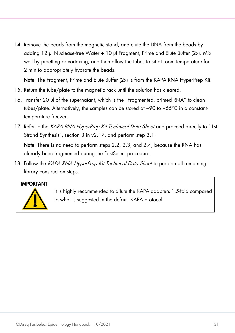14. Remove the beads from the magnetic stand, and elute the DNA from the beads by adding 12 µl Nuclease-free Water + 10 µl Fragment, Prime and Elute Buffer (2x). Mix well by pipetting or vortexing, and then allow the tubes to sit at room temperature for 2 min to appropriately hydrate the beads.

Note: The Fragment, Prime and Elute Buffer (2x) is from the KAPA RNA HyperPrep Kit.

- 15. Return the tube/plate to the magnetic rack until the solution has cleared.
- 16. Transfer 20 µl of the supernatant, which is the "Fragmented, primed RNA" to clean tubes/plate. Alternatively, the samples can be stored at −90 to −65°C in a constanttemperature freezer.
- 17. Refer to the KAPA RNA HyperPrep Kit Technical Data Sheet and proceed directly to "1st Strand Synthesis", section 3 in v2.17, and perform step 3.1.

Note: There is no need to perform steps 2.2, 2.3, and 2.4, because the RNA has already been fragmented during the FastSelect procedure.

18. Follow the KAPA RNA HyperPrep Kit Technical Data Sheet to perform all remaining library construction steps.



It is highly recommended to dilute the KAPA adapters 1.5-fold compared to what is suggested in the default KAPA protocol.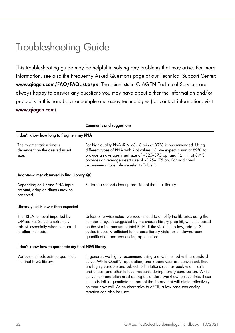### <span id="page-31-0"></span>Troubleshooting Guide

This troubleshooting guide may be helpful in solving any problems that may arise. For more information, see also the Frequently Asked Questions page at our Technical Support Center: [www.qiagen.com/FAQ/FAQList.aspx](http://www.qiagen.com/FAQ/FAQList.aspx). The scientists in QIAGEN Technical Services are always happy to answer any questions you may have about either the information and/or protocols in this handbook or sample and assay technologies (for contact information, visit [www.qiagen.com](https://www.qiagen.com/ph/)).

|                                                                                                                         | <b>Comments and suggestions</b>                                                                                                                                                                                                                                                                                                                                                                                                                                                                                                                                              |
|-------------------------------------------------------------------------------------------------------------------------|------------------------------------------------------------------------------------------------------------------------------------------------------------------------------------------------------------------------------------------------------------------------------------------------------------------------------------------------------------------------------------------------------------------------------------------------------------------------------------------------------------------------------------------------------------------------------|
| I don't know how long to fragment my RNA                                                                                |                                                                                                                                                                                                                                                                                                                                                                                                                                                                                                                                                                              |
| The fragmentation time is<br>dependent on the desired insert<br>size.                                                   | For high-quality RNA (RIN $\geq$ 8), 8 min at 89°C is recommended. Using<br>different types of RNA with RIN values $\geq$ 8, we expect 4 min at 89 $^{\circ}$ C to<br>provide an average insert size of ~325-375 bp, and 12 min at 89°C<br>provides an average insert size of ~125-175 bp. For additional<br>recommendations, please refer to Table 1.                                                                                                                                                                                                                       |
| Adapter-dimer observed in final library QC                                                                              |                                                                                                                                                                                                                                                                                                                                                                                                                                                                                                                                                                              |
| Depending on kit and RNA input<br>amount, adapter-dimers may be<br>observed.                                            | Perform a second cleanup reaction of the final library.                                                                                                                                                                                                                                                                                                                                                                                                                                                                                                                      |
| Library yield is lower than expected                                                                                    |                                                                                                                                                                                                                                                                                                                                                                                                                                                                                                                                                                              |
| The rRNA removal imparted by<br>QIAseq FastSelect is extremely<br>robust, especially when compared<br>to other methods. | Unless otherwise noted, we recommend to amplify the libraries using the<br>number of cycles suggested by the chosen library prep kit, which is based<br>on the starting amount of total RNA. If the yield is too low, adding 2<br>cycles is usually sufficient to increase library yield for all downstream<br>quantification and sequencing applications.                                                                                                                                                                                                                   |
| I don't know how to quantitate my final NGS library                                                                     |                                                                                                                                                                                                                                                                                                                                                                                                                                                                                                                                                                              |
| Various methods exist to quantitate<br>the final NGS library.                                                           | In general, we highly recommend using a qPCR method with a standard<br>curve. While Qubit®, TapeStation, and Bioanalyzer are convenient, they<br>are highly variable and subject to limitations such as peak width, salts<br>and oligos, and other leftover reagents during library construction. While<br>convenient and often used during a standard workflow to save time, these<br>methods fail to quantitate the part of the library that will cluster effectively<br>on your flow cell. As an alternative to gPCR, a low pass sequencing<br>reaction can also be used. |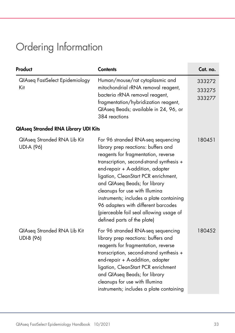### <span id="page-32-0"></span>Ordering Information

| Product                                          | <b>Contents</b>                                                                                                                                                                                                                                                                                                                                                                                                                                                          | Cat. no.                   |
|--------------------------------------------------|--------------------------------------------------------------------------------------------------------------------------------------------------------------------------------------------------------------------------------------------------------------------------------------------------------------------------------------------------------------------------------------------------------------------------------------------------------------------------|----------------------------|
| QIAseq FastSelect Epidemiology<br>Kit            | Human/mouse/rat cytoplasmic and<br>mitochondrial rRNA removal reagent,<br>bacteria rRNA removal reagent,<br>fragmentation/hybridization reagent,<br>QIAseq Beads; available in 24, 96, or<br>384 reactions                                                                                                                                                                                                                                                               | 333272<br>333275<br>333277 |
| <b>QIAseq Stranded RNA Library UDI Kits</b>      |                                                                                                                                                                                                                                                                                                                                                                                                                                                                          |                            |
| QIAseq Stranded RNA Lib Kit<br><b>UDI-A (96)</b> | For 96 stranded RNA-seq sequencing<br>library prep reactions: buffers and<br>reagents for fragmentation, reverse<br>transcription, second-strand synthesis +<br>end-repair + A-addition, adapter<br>ligation, CleanStart PCR enrichment,<br>and QIAseq Beads; for library<br>cleanups for use with Illumina<br>instruments; includes a plate containing<br>96 adapters with different barcodes<br>(pierceable foil seal allowing usage of<br>defined parts of the plate) | 180451                     |
| QlAseq Stranded RNA Lib Kit<br><b>UDI-B (96)</b> | For 96 stranded RNA-seq sequencing<br>library prep reactions: buffers and<br>reagents for fragmentation, reverse<br>transcription, second-strand synthesis +<br>end-repair + A-addition, adapter<br>ligation, CleanStart PCR enrichment<br>and QIAseq Beads; for library<br>cleanups for use with Illumina<br>instruments; includes a plate containing                                                                                                                   | 180452                     |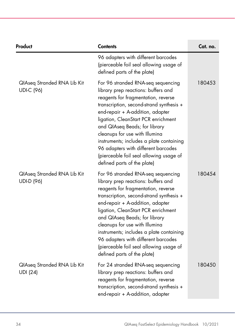| Product                                          | <b>Contents</b>                                                                                                                                                                                                                                                                                                                                                                                                                                                         | Cat. no. |
|--------------------------------------------------|-------------------------------------------------------------------------------------------------------------------------------------------------------------------------------------------------------------------------------------------------------------------------------------------------------------------------------------------------------------------------------------------------------------------------------------------------------------------------|----------|
|                                                  | 96 adapters with different barcodes<br>(pierceable foil seal allowing usage of<br>defined parts of the plate)                                                                                                                                                                                                                                                                                                                                                           |          |
| QIAseq Stranded RNA Lib Kit<br><b>UDI-C (96)</b> | For 96 stranded RNA-seq sequencing<br>library prep reactions: buffers and<br>reagents for fragmentation, reverse<br>transcription, second-strand synthesis +<br>end-repair + A-addition, adapter<br>ligation, CleanStart PCR enrichment<br>and QIAseq Beads; for library<br>cleanups for use with Illumina<br>instruments; includes a plate containing<br>96 adapters with different barcodes<br>(pierceable foil seal allowing usage of<br>defined parts of the plate) | 180453   |
| QIAseq Stranded RNA Lib Kit<br>UDI-D (96)        | For 96 stranded RNA-seq sequencing<br>library prep reactions: buffers and<br>reagents for fragmentation, reverse<br>transcription, second-strand synthesis +<br>end-repair + A-addition, adapter<br>ligation, CleanStart PCR enrichment<br>and QIAseq Beads; for library<br>cleanups for use with Illumina<br>instruments; includes a plate containing<br>96 adapters with different barcodes<br>(pierceable foil seal allowing usage of<br>defined parts of the plate) | 180454   |
| QIAseq Stranded RNA Lib Kit<br><b>UDI</b> (24)   | For 24 stranded RNA-seq sequencing<br>library prep reactions: buffers and<br>reagents for fragmentation, reverse<br>transcription, second-strand synthesis +<br>end-repair + A-addition, adapter                                                                                                                                                                                                                                                                        | 180450   |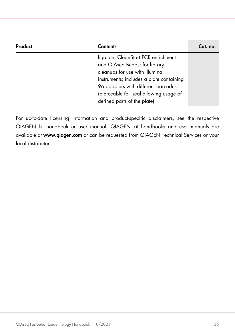| Product | <b>Contents</b>                                                                                                                                                                                                                                                     | Cat. no. |
|---------|---------------------------------------------------------------------------------------------------------------------------------------------------------------------------------------------------------------------------------------------------------------------|----------|
|         | ligation, CleanStart PCR enrichment<br>and QIAseq Beads; for library<br>cleanups for use with Illumina<br>instruments; includes a plate containing<br>96 adapters with different barcodes<br>(pierceable foil seal allowing usage of<br>defined parts of the plate) |          |

For up-to-date licensing information and product-specific disclaimers, see the respective QIAGEN kit handbook or user manual. QIAGEN kit handbooks and user manuals are available at [www.qiagen.com](http://www.qiagen.com/) or can be requested from QIAGEN Technical Services or your local distributor.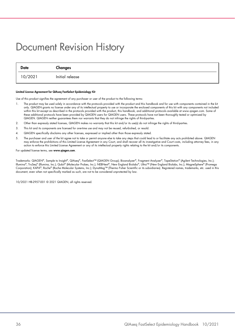### <span id="page-35-0"></span>Document Revision History

| Date    | Changes         |
|---------|-----------------|
| 10/2021 | Initial release |

#### Limited License Agreement for QIAseq FastSelect Epidemiology Kit

Use of this product signifies the agreement of any purchaser or user of the product to the following terms:

- 1. The product may be used solely in accordance with the protocols provided with the product and this handbook and for use with components contained in the kit only. QIAGEN grants no license under any of its intellectual property to use or incorporate the enclosed components of this kit with any components not included within this kit except as described in the protocols provided with the product, this handbook, and additional protocols available at www.qiagen.com. Some of these additional protocols have been provided by QIAGEN users for QIAGEN users. These protocols have not been thoroughly tested or optimized by QIAGEN. QIAGEN neither guarantees them nor warrants that they do not infringe the rights of third-parties.
- 2. Other than expressly stated licenses, QIAGEN makes no warranty that this kit and/or its use(s) do not infringe the rights of third-parties.
- 3. This kit and its components are licensed for one-time use and may not be reused, refurbished, or resold.
- 4. QIAGEN specifically disclaims any other licenses, expressed or implied other than those expressly stated.
- 5. The purchaser and user of the kit agree not to take or permit anyone else to take any steps that could lead to or facilitate any acts prohibited above. QIAGEN may enforce the prohibitions of this Limited License Agreement in any Court, and shall recover all its investigative and Court costs, including attorney fees, in any action to enforce this Limited License Agreement or any of its intellectual property rights relating to the kit and/or its components.

#### For updated license terms, see [www.qiagen.com](http://www.qiagen.com/).

Trademarks: QIAGEN®, Sample to Insight®, QIAseq®, FastSelect™ (QIAGEN Group); Bioanalyzer®, Fragment Analyzer®, TapeStation® (Agilent Technologies, Inc.); Illumina®, TruSeq® (Illumina, Inc.); Qubit® (Molecular Probes, Inc.); NEBNext®, New England Biolabs®, Ultra™ (New England Biolabs, Inc.); MagneSphere® (Promega Corporation); KAPA®, Roche® (Roche Molecular Systems, Inc.); DynaMag™ (Thermo Fisher Scientific or its subsidiaries). Registered names, trademarks, etc. used in this document, even when not specifically marked as such, are not to be considered unprotected by law.

10/2021 HB-2957-001 © 2021 QIAGEN, all rights reserved.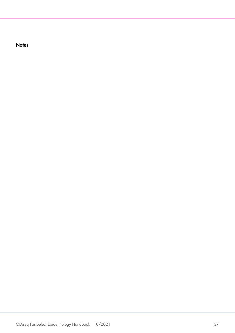**Notes**